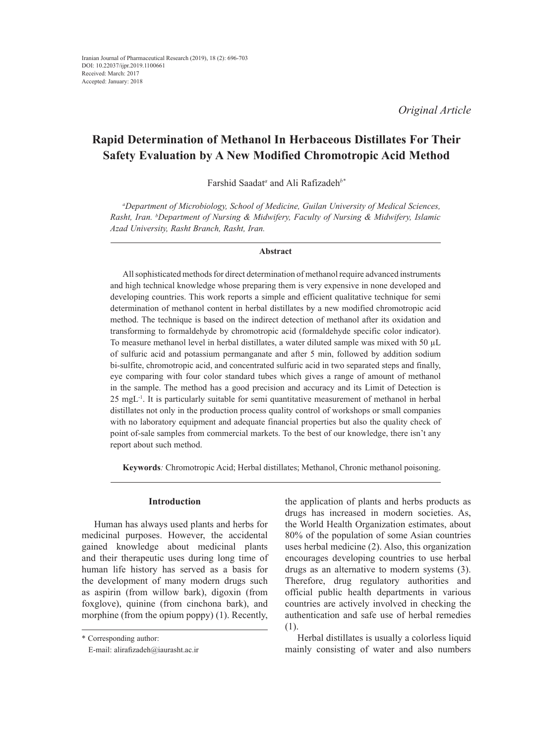*Original Article*

# **Rapid Determination of Methanol In Herbaceous Distillates For Their Safety Evaluation by A New Modified Chromotropic Acid Method**

Farshid Saadat*<sup>a</sup>* and Ali Rafizadeh*b\**

*a Department of Microbiology, School of Medicine, Guilan University of Medical Sciences, Rasht, Iran. b Department of Nursing & Midwifery, Faculty of Nursing & Midwifery, Islamic Azad University, Rasht Branch, Rasht, Iran.*

#### **Abstract**

All sophisticated methods for direct determination of methanol require advanced instruments and high technical knowledge whose preparing them is very expensive in none developed and developing countries. This work reports a simple and efficient qualitative technique for semi determination of methanol content in herbal distillates by a new modified chromotropic acid method. The technique is based on the indirect detection of methanol after its oxidation and transforming to formaldehyde by chromotropic acid (formaldehyde specific color indicator). To measure methanol level in herbal distillates, a water diluted sample was mixed with 50 µL of sulfuric acid and potassium permanganate and after 5 min, followed by addition sodium bi-sulfite, chromotropic acid, and concentrated sulfuric acid in two separated steps and finally, eye comparing with four color standard tubes which gives a range of amount of methanol in the sample. The method has a good precision and accuracy and its Limit of Detection is  $25 \text{ mgL}^{-1}$ . It is particularly suitable for semi quantitative measurement of methanol in herbal distillates not only in the production process quality control of workshops or small companies with no laboratory equipment and adequate financial properties but also the quality check of point of-sale samples from commercial markets. To the best of our knowledge, there isn't any report about such method.

**Keywords***:* Chromotropic Acid; Herbal distillates; Methanol, Chronic methanol poisoning.

## **Introduction**

Human has always used plants and herbs for medicinal purposes. However, the accidental gained knowledge about medicinal plants and their therapeutic uses during long time of human life history has served as a basis for the development of many modern drugs such as aspirin (from willow bark), digoxin (from foxglove), quinine (from cinchona bark), and morphine (from the opium poppy) (1). Recently,

the application of plants and herbs products as drugs has increased in modern societies. As, the World Health Organization estimates, about 80% of the population of some Asian countries uses herbal medicine (2). Also, this organization encourages developing countries to use herbal drugs as an alternative to modern systems (3). Therefore, drug regulatory authorities and official public health departments in various countries are actively involved in checking the authentication and safe use of herbal remedies (1).

Herbal distillates is usually a colorless liquid mainly consisting of water and also numbers

<sup>\*</sup> Corresponding author:

E-mail: alirafizadeh@iaurasht.ac.ir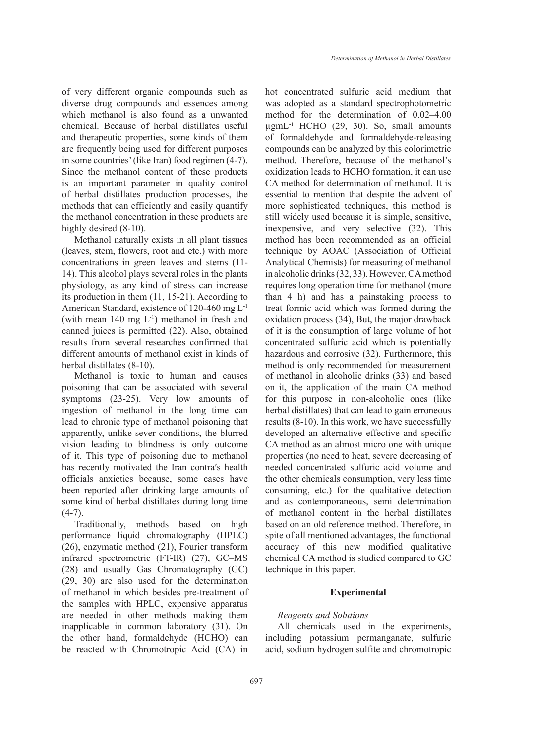of very different organic compounds such as diverse drug compounds and essences among which methanol is also found as a unwanted chemical. Because of herbal distillates useful and therapeutic properties, some kinds of them are frequently being used for different purposes in some countries' (like Iran) food regimen (4-7). Since the methanol content of these products is an important parameter in quality control of herbal distillates production processes, the methods that can efficiently and easily quantify the methanol concentration in these products are highly desired  $(8-10)$ .

Methanol naturally exists in all plant tissues (leaves, stem, flowers, root and etc.) with more concentrations in green leaves and stems (11- 14). This alcohol plays several roles in the plants physiology, as any kind of stress can increase its production in them (11, 15-21). According to American Standard, existence of 120-460 mg L-1 (with mean  $140 \text{ mg } L^{-1}$ ) methanol in fresh and canned juices is permitted (22). Also, obtained results from several researches confirmed that different amounts of methanol exist in kinds of herbal distillates (8-10).

Methanol is toxic to human and causes poisoning that can be associated with several symptoms (23-25). Very low amounts of ingestion of methanol in the long time can lead to chronic type of methanol poisoning that apparently, unlike sever conditions, the blurred vision leading to blindness is only outcome of it. This type of poisoning due to methanol has recently motivated the Iran contra′s health officials anxieties because, some cases have been reported after drinking large amounts of some kind of herbal distillates during long time  $(4-7)$ .

Traditionally, methods based on high performance liquid chromatography (HPLC) (26), enzymatic method (21), Fourier transform infrared spectrometric (FT-IR) (27), GC–MS (28) and usually Gas Chromatography (GC) (29, 30) are also used for the determination of methanol in which besides pre-treatment of the samples with HPLC, expensive apparatus are needed in other methods making them inapplicable in common laboratory (31). On the other hand, formaldehyde (HCHO) can be reacted with Chromotropic Acid (CA) in hot concentrated sulfuric acid medium that was adopted as a standard spectrophotometric method for the determination of 0.02–4.00  $\mu$ gmL<sup>-1</sup> HCHO (29, 30). So, small amounts of formaldehyde and formaldehyde-releasing compounds can be analyzed by this colorimetric method. Therefore, because of the methanol's oxidization leads to HCHO formation, it can use CA method for determination of methanol. It is essential to mention that despite the advent of more sophisticated techniques, this method is still widely used because it is simple, sensitive, inexpensive, and very selective (32). This method has been recommended as an official technique by AOAC (Association of Official Analytical Chemists) for measuring of methanol in alcoholic drinks (32, 33). However, CA method requires long operation time for methanol (more than 4 h) and has a painstaking process to treat formic acid which was formed during the oxidation process (34), But, the major drawback of it is the consumption of large volume of hot concentrated sulfuric acid which is potentially hazardous and corrosive (32). Furthermore, this method is only recommended for measurement of methanol in alcoholic drinks (33) and based on it, the application of the main CA method for this purpose in non-alcoholic ones (like herbal distillates) that can lead to gain erroneous results (8-10). In this work, we have successfully developed an alternative effective and specific CA method as an almost micro one with unique properties (no need to heat, severe decreasing of needed concentrated sulfuric acid volume and the other chemicals consumption, very less time consuming, etc.) for the qualitative detection and as contemporaneous, semi determination of methanol content in the herbal distillates based on an old reference method. Therefore, in spite of all mentioned advantages, the functional accuracy of this new modified qualitative chemical CA method is studied compared to GC technique in this paper.

### **Experimental**

#### *Reagents and Solutions*

All chemicals used in the experiments, including potassium permanganate, sulfuric acid, sodium hydrogen sulfite and chromotropic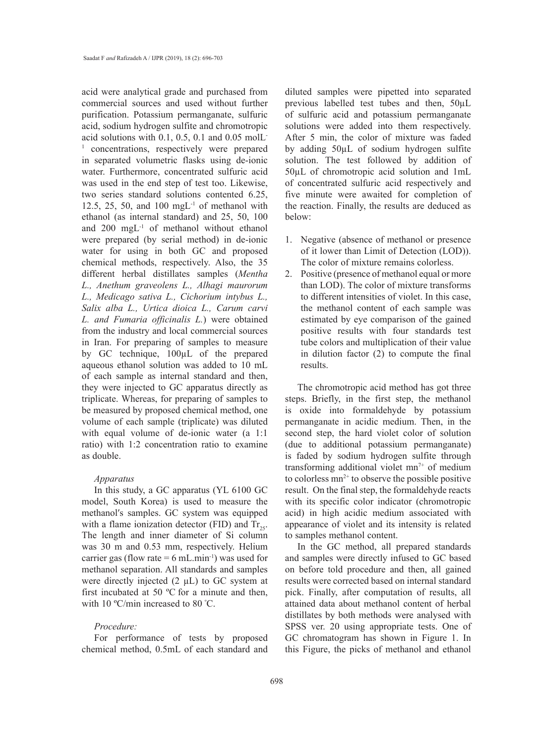acid were analytical grade and purchased from commercial sources and used without further purification. Potassium permanganate, sulfuric acid, sodium hydrogen sulfite and chromotropic acid solutions with 0.1, 0.5, 0.1 and 0.05 molL-<sup>1</sup> concentrations, respectively were prepared in separated volumetric flasks using de-ionic water. Furthermore, concentrated sulfuric acid was used in the end step of test too. Likewise, two series standard solutions contented 6.25, 12.5, 25, 50, and 100 mg $L^{-1}$  of methanol with ethanol (as internal standard) and 25, 50, 100 and 200 mgL-1 of methanol without ethanol were prepared (by serial method) in de-ionic water for using in both GC and proposed chemical methods, respectively. Also, the 35 different herbal distillates samples (*Mentha L., Anethum graveolens L., Alhagi maurorum L., Medicago sativa L., Cichorium intybus L., Salix alba L., Urtica dioica L., Carum carvi L. and Fumaria officinalis L.*) were obtained from the industry and local commercial sources in Iran. For preparing of samples to measure by GC technique, 100µL of the prepared aqueous ethanol solution was added to 10 mL of each sample as internal standard and then, they were injected to GC apparatus directly as triplicate. Whereas, for preparing of samples to be measured by proposed chemical method, one volume of each sample (triplicate) was diluted with equal volume of de-ionic water (a 1:1 ratio) with 1:2 concentration ratio to examine as double.

### *Apparatus*

In this study, a GC apparatus (YL 6100 GC model, South Korea) is used to measure the methanol′s samples. GC system was equipped with a flame ionization detector (FID) and  $Tr_{25}$ . The length and inner diameter of Si column was 30 m and 0.53 mm, respectively. Helium carrier gas (flow rate =  $6$  mL.min<sup>-1</sup>) was used for methanol separation. All standards and samples were directly injected (2 µL) to GC system at first incubated at 50 ºC for a minute and then, with 10 °C/min increased to 80 °C.

### *Procedure:*

For performance of tests by proposed chemical method, 0.5mL of each standard and diluted samples were pipetted into separated previous labelled test tubes and then, 50µL of sulfuric acid and potassium permanganate solutions were added into them respectively. After 5 min, the color of mixture was faded by adding 50µL of sodium hydrogen sulfite solution. The test followed by addition of 50µL of chromotropic acid solution and 1mL of concentrated sulfuric acid respectively and five minute were awaited for completion of the reaction. Finally, the results are deduced as below:

- 1. Negative (absence of methanol or presence of it lower than Limit of Detection (LOD)). The color of mixture remains colorless.
- 2. Positive (presence of methanol equal or more than LOD). The color of mixture transforms to different intensities of violet. In this case, the methanol content of each sample was estimated by eye comparison of the gained positive results with four standards test tube colors and multiplication of their value in dilution factor (2) to compute the final results.

The chromotropic acid method has got three steps. Briefly, in the first step, the methanol is oxide into formaldehyde by potassium permanganate in acidic medium. Then, in the second step, the hard violet color of solution (due to additional potassium permanganate) is faded by sodium hydrogen sulfite through transforming additional violet  $mn^{7+}$  of medium to colorless  $mn^{2+}$  to observe the possible positive result. On the final step, the formaldehyde reacts with its specific color indicator (chromotropic acid) in high acidic medium associated with appearance of violet and its intensity is related to samples methanol content.

In the GC method, all prepared standards and samples were directly infused to GC based on before told procedure and then, all gained results were corrected based on internal standard pick. Finally, after computation of results, all attained data about methanol content of herbal distillates by both methods were analysed with SPSS ver. 20 using appropriate tests. One of GC chromatogram has shown in Figure 1. In this Figure, the picks of methanol and ethanol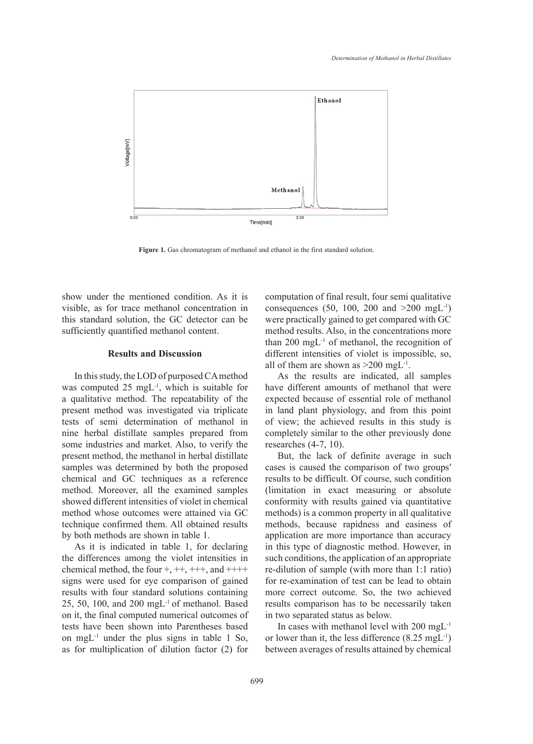

**Figure 1.** Gas chromatogram of methanol and ethanol in the first standard solution.

show under the mentioned condition. As it is visible, as for trace methanol concentration in this standard solution, the GC detector can be sufficiently quantified methanol content.

#### **Results and Discussion**

In this study, the LOD of purposed CA method was computed 25 mgL<sup>-1</sup>, which is suitable for a qualitative method. The repeatability of the present method was investigated via triplicate tests of semi determination of methanol in nine herbal distillate samples prepared from some industries and market. Also, to verify the present method, the methanol in herbal distillate samples was determined by both the proposed chemical and GC techniques as a reference method. Moreover, all the examined samples showed different intensities of violet in chemical method whose outcomes were attained via GC technique confirmed them. All obtained results by both methods are shown in table 1.

As it is indicated in table 1, for declaring the differences among the violet intensities in chemical method, the four  $+,++,+++$ , and  $+++$ signs were used for eye comparison of gained results with four standard solutions containing 25, 50, 100, and 200 mgL-1 of methanol. Based on it, the final computed numerical outcomes of tests have been shown into Parentheses based on mg $L^{-1}$  under the plus signs in table 1 So, as for multiplication of dilution factor (2) for computation of final result, four semi qualitative consequences (50, 100, 200 and  $>200$  mgL<sup>-1</sup>) were practically gained to get compared with GC method results. Also, in the concentrations more than  $200 \text{ mgL}^{-1}$  of methanol, the recognition of different intensities of violet is impossible, so, all of them are shown as  $>200$  mgL<sup>-1</sup>.

As the results are indicated, all samples have different amounts of methanol that were expected because of essential role of methanol in land plant physiology, and from this point of view; the achieved results in this study is completely similar to the other previously done researches (4-7, 10).

But, the lack of definite average in such cases is caused the comparison of two groups′ results to be difficult. Of course, such condition (limitation in exact measuring or absolute conformity with results gained via quantitative methods) is a common property in all qualitative methods, because rapidness and easiness of application are more importance than accuracy in this type of diagnostic method. However, in such conditions, the application of an appropriate re-dilution of sample (with more than 1:1 ratio) for re-examination of test can be lead to obtain more correct outcome. So, the two achieved results comparison has to be necessarily taken in two separated status as below.

In cases with methanol level with 200 mgL-1 or lower than it, the less difference  $(8.25 \text{ mgL}^{-1})$ between averages of results attained by chemical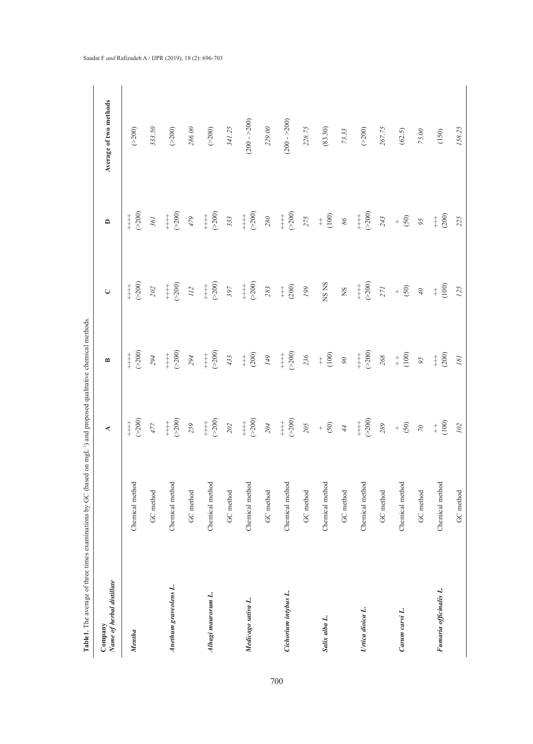| å                                                                                 |
|-----------------------------------------------------------------------------------|
|                                                                                   |
|                                                                                   |
|                                                                                   |
| ł                                                                                 |
|                                                                                   |
| י<br>י                                                                            |
|                                                                                   |
|                                                                                   |
|                                                                                   |
|                                                                                   |
|                                                                                   |
|                                                                                   |
| $\overline{\phantom{a}}$                                                          |
| i                                                                                 |
|                                                                                   |
|                                                                                   |
|                                                                                   |
|                                                                                   |
|                                                                                   |
| l                                                                                 |
| I                                                                                 |
|                                                                                   |
|                                                                                   |
| ₹<br>l                                                                            |
|                                                                                   |
|                                                                                   |
| $\overline{\phantom{a}}$<br>f<br>C                                                |
|                                                                                   |
|                                                                                   |
| ֧֧ׅ֧֧֧֛֪֦֧֧֛֪֦֧֛֪֧֛֧֧֛֪ׅ֧֛֪ׅ֧֧֚֕֝֬֝֬֝֓֕֓֝֬֝֓֕֓֝֬֝֓֕֓֬֝֓֝֬֝֓֝֬֝֓֝֬֝֓֝֬֝֝֬֝֝֬֝֬֝֬֝֬ |
|                                                                                   |
|                                                                                   |
|                                                                                   |
|                                                                                   |
|                                                                                   |
|                                                                                   |
|                                                                                   |
| $\vdots$                                                                          |
|                                                                                   |
|                                                                                   |
|                                                                                   |
|                                                                                   |
|                                                                                   |
|                                                                                   |
| Ì                                                                                 |
| j                                                                                 |
| j                                                                                 |
| ׇ֬֘                                                                               |
|                                                                                   |
|                                                                                   |
|                                                                                   |
|                                                                                   |
|                                                                                   |
|                                                                                   |
|                                                                                   |
|                                                                                   |
|                                                                                   |
|                                                                                   |
| :                                                                                 |
|                                                                                   |
|                                                                                   |
|                                                                                   |
|                                                                                   |
|                                                                                   |
|                                                                                   |
|                                                                                   |
|                                                                                   |
|                                                                                   |
|                                                                                   |
|                                                                                   |
|                                                                                   |
|                                                                                   |
|                                                                                   |
| ֕                                                                                 |
| ֖֖֖֖֖֖֧֖֧֖֧֚֚֚֚֚֚֚֚֚֚֚֚֚֚֚֚֚֚֚֚֚֚֚֚֚֚֬֝֝֓֝֓֬                                      |
|                                                                                   |
|                                                                                   |
| ֖֖֖֪ׅ֪ׅׅׅׅ֪֪֪ׅ֚֚֚֚֚֚֚֚֚֚֚֚֚֚֚֚֚֚֚֡֝֝֝֝֬֝֬֝֬֓֝֓                                    |
| í                                                                                 |
|                                                                                   |
|                                                                                   |
|                                                                                   |
| $\ddot{\phantom{a}}$<br>j                                                         |
| l                                                                                 |
|                                                                                   |
|                                                                                   |
|                                                                                   |
| ahle                                                                              |
| i<br>É                                                                            |

| Name of herbal distillate<br>Company |                 |                                                                       | ≏                                                  | $\cup$                                      | $\mathbf{a}$                                           | Average of two methods |
|--------------------------------------|-----------------|-----------------------------------------------------------------------|----------------------------------------------------|---------------------------------------------|--------------------------------------------------------|------------------------|
| Mentha                               | Chemical method | $^{+\atop +} _{+\atop -}^{\phantom +}$                                | $\begin{array}{c} +200 \\ +000 \end{array}$        | $\begin{array}{c} +200 \\ +000 \end{array}$ | $\begin{array}{c} +200 \\ +000 \end{array}$            | $(\geq200)$            |
|                                      | GC method       | $\angle t$                                                            | 294                                                | $202\,$                                     | $36\sqrt{l}$                                           | 333.50                 |
| Anethum graveolens L.                | Chemical method | $\begin{array}{c} + \  \  \, 0 \\ + \  \  \, 0 \\ \hline \end{array}$ | $^{++}_{(-200)}$                                   | $^{++}_{-200}$                              | $^{++}_{(-200)}$                                       | $(>200)$               |
|                                      | GC method       | 259                                                                   | 294                                                | 112                                         | $62$                                                   | $286.00\,$             |
| Alhagi maurorum L.                   | Chemical method | $(\geq 200)$<br>$\overset{+}{\pm}$                                    | $(\geq 200)$<br>$\ddagger$                         | $(>200)$<br>$\ddagger$                      | $(\geq 200)$<br>$\ddagger$                             | $(\geq200)$            |
|                                      | GC method       | $202\,$                                                               | 433                                                | 397                                         | 333                                                    | 341.25                 |
| Medicago sativa L.                   | Chemical method | $^{+\,+}_{-\geq 200}$                                                 | $\stackrel{+}{\mp} \stackrel{\odot}{\atop \sim} 0$ | $^{+\,+}_{\scriptscriptstyle\sim}$ 200)     | $^{+\,+}_{-\,200}$                                     | $(200 - 200)$          |
|                                      | GC method       | 204                                                                   | $\delta t I$                                       | $283\,$                                     | $280\,$                                                | $229.00$               |
| Cichorium intybus L.                 | Chemical method | $^{++}_{(-200)}$                                                      | $^{++}_{(-200)}$                                   | $\begin{array}{c} + \ 0 \\ + \end{array}$   | $^{+\atop +} _{+\atop -}^{\phantom +}$                 | $(200 - 200)$          |
|                                      | GC method       | 205                                                                   | 236                                                | $199\,$                                     | 275                                                    | 228.75                 |
| Salix alba L.                        | Chemical method | $+604$                                                                | $(100)$<br>$\ddagger$                              | NS NS                                       | $\pm$ $\widehat{\Xi}$                                  | (83.30)                |
|                                      | GC method       |                                                                       | $\partial\delta$                                   | $\mathop{\rm s}\nolimits$                   | $9\,$                                                  | 73.33                  |
| Urtica dioica L.                     | Chemical method | $\begin{matrix} + & 0 \\ + & 0 \\ + & \sqrt{2} \end{matrix}$          | $+800$                                             | $+1000$                                     | $\underset{\leftarrow}{\overset{+}{\rightleftarrows}}$ | $(\geq 200)$           |
|                                      | GC method       | 289                                                                   | $268\,$                                            | 271                                         | 243                                                    | 267.75                 |
| Carum carvi L.                       | Chemical method | $+$ $\frac{\odot}{\odot}$                                             | $+$ $\frac{6}{5}$                                  | $+\overline{\mathcal{S}}$                   | $+\ \widehat{\mathbb{S}}$                              | (62.5)                 |
|                                      | GC method       | $\mathcal{O}\mathcal{L}$                                              | 95                                                 | $0^{\dagger}$                               | 95                                                     | $75.00$                |
| Fumaria officinalis L.               | Chemical method | $+ 60$                                                                | $\begin{matrix} + & 0 \\ 0 & 0 \end{matrix}$       | $\ddagger$ $\frac{\odot}{\odot}$            | (200)<br>$\ddagger$                                    | $(150)$                |
|                                      | GC method       | 102                                                                   | $18\,$                                             | 125                                         | 225                                                    | 158.25                 |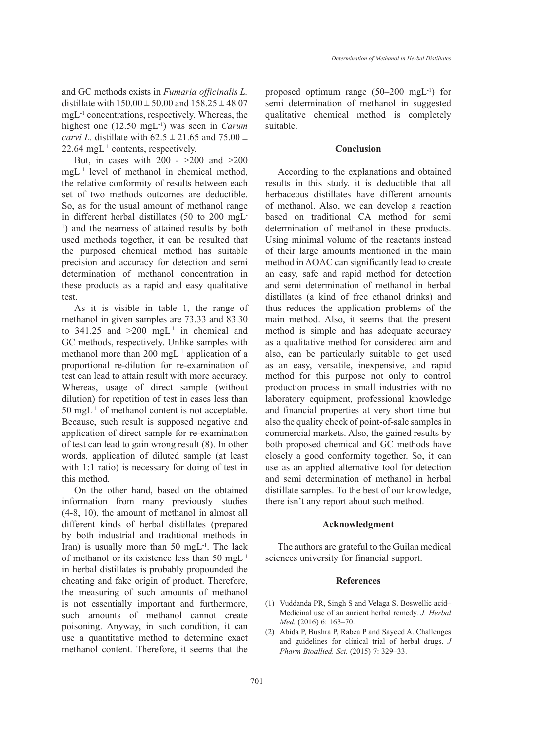and GC methods exists in *Fumaria officinalis L.* distillate with  $150.00 \pm 50.00$  and  $158.25 \pm 48.07$ mgL-1 concentrations, respectively. Whereas, the highest one (12.50 mgL-1) was seen in *Carum carvi L.* distillate with  $62.5 \pm 21.65$  and  $75.00 \pm 1.65$ 22.64 mgL-1 contents, respectively.

But, in cases with 200 - >200 and >200 mgL<sup>-1</sup> level of methanol in chemical method, the relative conformity of results between each set of two methods outcomes are deductible. So, as for the usual amount of methanol range in different herbal distillates (50 to 200 mgL-1 ) and the nearness of attained results by both used methods together, it can be resulted that the purposed chemical method has suitable precision and accuracy for detection and semi determination of methanol concentration in these products as a rapid and easy qualitative test.

As it is visible in table 1, the range of methanol in given samples are 73.33 and 83.30 to  $341.25$  and  $>200$  mgL<sup>-1</sup> in chemical and GC methods, respectively. Unlike samples with methanol more than 200 mgL-1 application of a proportional re-dilution for re-examination of test can lead to attain result with more accuracy. Whereas, usage of direct sample (without dilution) for repetition of test in cases less than 50 mgL-1 of methanol content is not acceptable. Because, such result is supposed negative and application of direct sample for re-examination of test can lead to gain wrong result (8). In other words, application of diluted sample (at least with 1:1 ratio) is necessary for doing of test in this method.

On the other hand, based on the obtained information from many previously studies (4-8, 10), the amount of methanol in almost all different kinds of herbal distillates (prepared by both industrial and traditional methods in Iran) is usually more than 50 mgL<sup>-1</sup>. The lack of methanol or its existence less than 50 mgL-1 in herbal distillates is probably propounded the cheating and fake origin of product. Therefore, the measuring of such amounts of methanol is not essentially important and furthermore, such amounts of methanol cannot create poisoning. Anyway, in such condition, it can use a quantitative method to determine exact methanol content. Therefore, it seems that the proposed optimum range  $(50-200 \text{ mgL}^{-1})$  for semi determination of methanol in suggested qualitative chemical method is completely suitable.

#### **Conclusion**

According to the explanations and obtained results in this study, it is deductible that all herbaceous distillates have different amounts of methanol. Also, we can develop a reaction based on traditional CA method for semi determination of methanol in these products. Using minimal volume of the reactants instead of their large amounts mentioned in the main method in AOAC can significantly lead to create an easy, safe and rapid method for detection and semi determination of methanol in herbal distillates (a kind of free ethanol drinks) and thus reduces the application problems of the main method. Also, it seems that the present method is simple and has adequate accuracy as a qualitative method for considered aim and also, can be particularly suitable to get used as an easy, versatile, inexpensive, and rapid method for this purpose not only to control production process in small industries with no laboratory equipment, professional knowledge and financial properties at very short time but also the quality check of point-of-sale samples in commercial markets. Also, the gained results by both proposed chemical and GC methods have closely a good conformity together. So, it can use as an applied alternative tool for detection and semi determination of methanol in herbal distillate samples. To the best of our knowledge, there isn't any report about such method.

#### **Acknowledgment**

The authors are grateful to the Guilan medical sciences university for financial support.

#### **References**

- (1) Vuddanda PR, Singh S and Velaga S. Boswellic acid-Medicinal use of an ancient herbal remedy. *J. Herbal Med.* (2016) 6: 163–70.
- Abida P, Bushra P, Rabea P and Sayeed A. Challenges (2)and guidelines for clinical trial of herbal drugs. *J Pharm Bioallied. Sci.* (2015) 7: 329–33.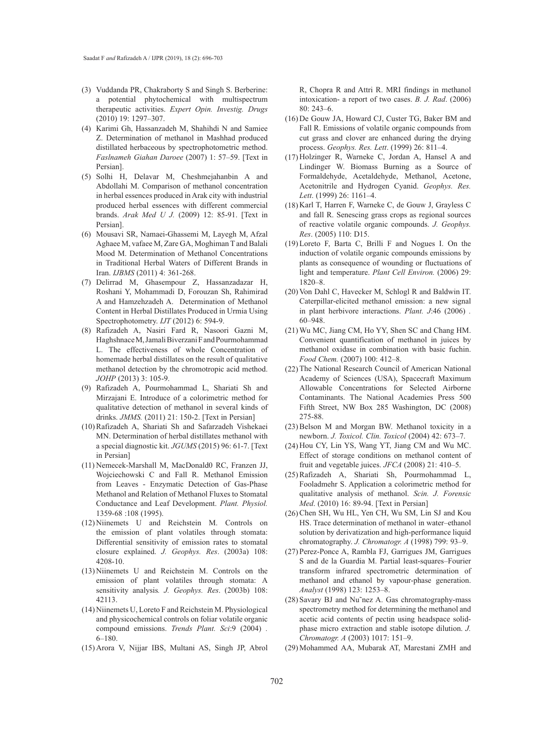- (3) Vuddanda PR, Chakraborty S and Singh S. Berberine: a potential phytochemical with multispectrum therapeutic activities. *Expert Opin. Investig. Drugs* (2010) 19: 1297–307.
- (4) Karimi Gh, Hassanzadeh M, Shahihdi N and Samiee Z. Determination of methanol in Mashhad produced distillated herbaceous by spectrophotometric method. *Faslnameh Giahan Daroee* (2007) 1: 57–59. [Text in Persian].
- (5) Solhi H, Delavar M, Cheshmejahanbin A and Abdollahi M. Comparison of methanol concentration in herbal essences produced in Arak city with industrial produced herbal essences with different commercial brands. *Arak Med U J.* (2009) 12: 85-91. [Text in Persian].
- (6) Mousavi SR, Namaei-Ghassemi M, Layegh M, Afzal Aghaee M, vafaee M, Zare GA, Moghiman T and Balali Mood M. Determination of Methanol Concentrations in Traditional Herbal Waters of Different Brands in Iran. *IJBMS* (2011) 4: 361-268.
- Delirrad M, Ghasempour Z, Hassanzadazar H, (7) Roshani Y, Mohammadi D, Forouzan Sh, Rahimirad A and Hamzehzadeh A. Determination of Methanol Content in Herbal Distillates Produced in Urmia Using Spectrophotometry. *IJT* (2012) 6: 594-9.
- Rafizadeh A, Nasiri Fard R, Nasoori Gazni M, (8) Haghshnace M, Jamali Biverzani F and Pourmohammad L. The effectiveness of whole Concentration of homemade herbal distillates on the result of qualitative methanol detection by the chromotropic acid method. *JOHP* (2013) 3: 105-9.
- Rafizadeh A, Pourmohammad L, Shariati Sh and (9) Mirzajani E. Introduce of a colorimetric method for qualitative detection of methanol in several kinds of drinks. *JMMS.* (2011) 21: 150-2. [Text in Persian]
- (10) Rafizadeh A, Shariati Sh and Safarzadeh Vishekaei MN. Determination of herbal distillates methanol with a special diagnostic kit. *JGUMS* (2015) 96: 61-7. [Text in Persian]
- (11) Nemecek-Marshall M, MacDonald0 RC, Franzen JJ, Wojciechowski C and Fall R. Methanol Emission from Leaves - Enzymatic Detection of Gas-Phase Methanol and Relation of Methanol Fluxes to Stomatal Conductance and Leaf Development. *Plant. Physiol.* 1359-68:108 (1995).
- (12) Niinemets U and Reichstein M. Controls on the emission of plant volatiles through stomata: Differential sensitivity of emission rates to stomatal closure explained. *J. Geophys. Res*. (2003a) 108: 4208-10.
- $(13)$  Niinemets U and Reichstein M. Controls on the emission of plant volatiles through stomata: A sensitivity analysis*. J. Geophys. Res*. (2003b) 108: 42113.
- (14) Niinemets U, Loreto F and Reichstein M. Physiological and physicochemical controls on foliar volatile organic compound emissions. *Trends Plant. Sci*:9 (2004) . 6–180.
- (15) Arora V, Nijjar IBS, Multani AS, Singh JP, Abrol

R, Chopra R and Attri R. MRI findings in methanol intoxication- a report of two cases. *B. J. Rad*. (2006) 80: 243–6.

- (16) De Gouw JA, Howard CJ, Custer TG, Baker BM and Fall R. Emissions of volatile organic compounds from cut grass and clover are enhanced during the drying process. *Geophys. Res. Lett*. (1999) 26: 811–4.
- (17) Holzinger R, Warneke C, Jordan A, Hansel A and Lindinger W. Biomass Burning as a Source of Formaldehyde, Acetaldehyde, Methanol, Acetone, Acetonitrile and Hydrogen Cyanid. *Geophys. Res. Lett*. (1999) 26: 1161–4.
- (18) Karl T, Harren F, Warneke C, de Gouw J, Grayless C and fall R. Senescing grass crops as regional sources of reactive volatile organic compounds. *J. Geophys. Res*. (2005) 110: D15.
- $(19)$  Loreto F, Barta C, Brilli F and Nogues I. On the induction of volatile organic compounds emissions by plants as consequence of wounding or fluctuations of light and temperature. *Plant Cell Environ.* (2006) 29: 1820–8.
- (20) Von Dahl C, Havecker M, Schlogl R and Baldwin IT. Caterpillar-elicited methanol emission: a new signal in plant herbivore interactions. *Plant. J*:46 (2006) . 60–948.
- Wu MC, Jiang CM, Ho YY, Shen SC and Chang HM. (21) Convenient quantification of methanol in juices by methanol oxidase in combination with basic fuchin. *Food Chem.* (2007) 100: 412–8.
- (22) The National Research Council of American National Academy of Sciences (USA), Spacecraft Maximum Allowable Concentrations for Selected Airborne Contaminants. The National Academies Press 500 Fifth Street, NW Box 285 Washington, DC (2008) 275-88.
- $(23)$  Belson M and Morgan BW. Methanol toxicity in a newborn. *J. Toxicol. Clin. Toxicol* (2004) 42: 673–7.
- (24) Hou CY, Lin YS, Wang YT, Jiang CM and Wu MC. Effect of storage conditions on methanol content of fruit and vegetable juices. *JFCA* (2008) 21: 410–5.
- (25) Rafizadeh A, Shariati Sh, Pourmohammad L, Fooladmehr S. Application a colorimetric method for qualitative analysis of methanol. *Scin. J. Forensic Med*. (2010) 16: 89-94. [Text in Persian]
- (26) Chen SH, Wu HL, Yen CH, Wu SM, Lin SJ and Kou HS. Trace determination of methanol in water–ethanol solution by derivatization and high-performance liquid chromatography. *J. Chromatogr. A* (1998) 799: 93–9.
- (27) Perez-Ponce A, Rambla FJ, Garrigues JM, Garrigues S and de la Guardia M. Partial least-squares–Fourier transform infrared spectrometric determination of methanol and ethanol by vapour-phase generation. *Analyst* (1998) 123: 1253–8.
- (28) Savary BJ and Nu~nez A. Gas chromatography-mass spectrometry method for determining the methanol and acetic acid contents of pectin using headspace solidphase micro extraction and stable isotope dilution. *J. Chromatogr. A* (2003) 1017: 151–9.
- (29) Mohammed AA, Mubarak AT, Marestani ZMH and